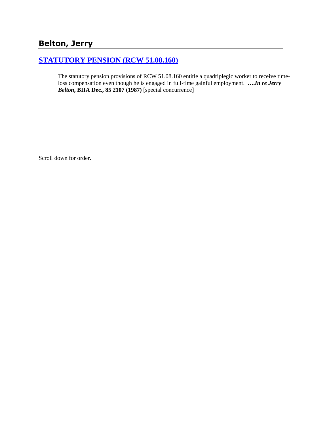# **Belton, Jerry**

## **[STATUTORY PENSION \(RCW 51.08.160\)](http://www.biia.wa.gov/SDSubjectIndex.html#STATUTORY_PENSION)**

The statutory pension provisions of RCW 51.08.160 entitle a quadriplegic worker to receive timeloss compensation even though he is engaged in full-time gainful employment. **….***In re Jerry Belton***, BIIA Dec., 85 2107 (1987)** [special concurrence]

Scroll down for order.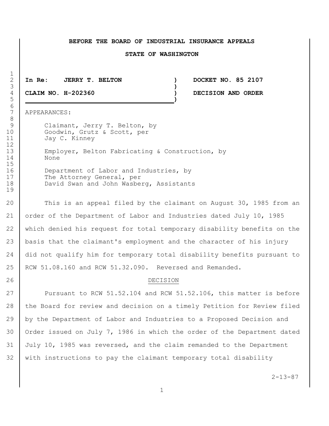### **BEFORE THE BOARD OF INDUSTRIAL INSURANCE APPEALS**

#### **STATE OF WASHINGTON**

2 **In Re: JERRY T. BELTON ) DOCKET NO. 85 2107**

5 **)**

4 **CLAIM NO. H-202360 ) DECISION AND ORDER**

7 APPEARANCES:

9 Claimant, Jerry T. Belton, by 10 Goodwin, Grutz & Scott, per 11 Jay C. Kinney 13 Employer, Belton Fabricating & Construction, by 14 None

16 Department of Labor and Industries, by 17 The Attorney General, per 18 **David Swan and John Wasberg, Assistants** 

 This is an appeal filed by the claimant on August 30, 1985 from an order of the Department of Labor and Industries dated July 10, 1985 which denied his request for total temporary disability benefits on the basis that the claimant's employment and the character of his injury 24 did not qualify him for temporary total disability benefits pursuant to 25 | RCW 51.08.160 and RCW 51.32.090. Reversed and Remanded.

### 26 DECISION

27 Pursuant to RCW 51.52.104 and RCW 51.52.106, this matter is before 28 the Board for review and decision on a timely Petition for Review filed 29 by the Department of Labor and Industries to a Proposed Decision and 30 | Order issued on July 7, 1986 in which the order of the Department dated 31 July 10, 1985 was reversed, and the claim remanded to the Department 32 with instructions to pay the claimant temporary total disability

 $2 - 13 - 87$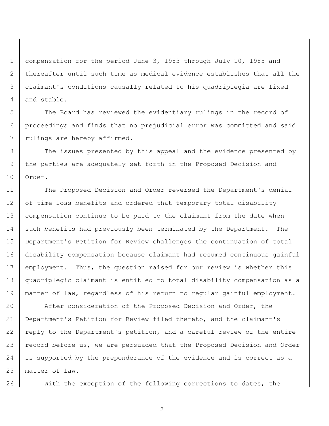1 | compensation for the period June 3, 1983 through July 10, 1985 and 2 thereafter until such time as medical evidence establishes that all the 3 claimant's conditions causally related to his quadriplegia are fixed 4 and stable.

5 The Board has reviewed the evidentiary rulings in the record of 6 proceedings and finds that no prejudicial error was committed and said 7 | rulings are hereby affirmed.

8 The issues presented by this appeal and the evidence presented by 9 the parties are adequately set forth in the Proposed Decision and 10 | Order.

11 The Proposed Decision and Order reversed the Department's denial 12 of time loss benefits and ordered that temporary total disability 13 compensation continue to be paid to the claimant from the date when 14 such benefits had previously been terminated by the Department. The 15 Department's Petition for Review challenges the continuation of total 16 disability compensation because claimant had resumed continuous gainful 17 employment. Thus, the question raised for our review is whether this 18 quadriplegic claimant is entitled to total disability compensation as a 19 | matter of law, regardless of his return to regular gainful employment.

20 After consideration of the Proposed Decision and Order, the 21 Department's Petition for Review filed thereto, and the claimant's 22 reply to the Department's petition, and a careful review of the entire 23 record before us, we are persuaded that the Proposed Decision and Order 24 is supported by the preponderance of the evidence and is correct as a 25 matter of law.

26 With the exception of the following corrections to dates, the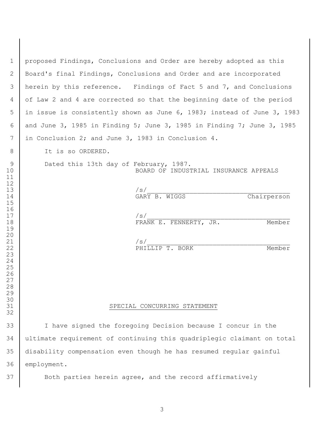| $\mathbf{1}$                        | proposed Findings, Conclusions and Order are hereby adopted as this             |
|-------------------------------------|---------------------------------------------------------------------------------|
| $\mathbf{2}$                        | Board's final Findings, Conclusions and Order and are incorporated              |
| 3                                   | herein by this reference. Findings of Fact 5 and 7, and Conclusions             |
| 4                                   | of Law 2 and 4 are corrected so that the beginning date of the period           |
| 5                                   | in issue is consistently shown as June 6, 1983; instead of June 3, 1983         |
| 6                                   | and June 3, 1985 in Finding 5; June 3, 1985 in Finding 7; June 3, 1985          |
| 7                                   | in Conclusion 2; and June 3, 1983 in Conclusion 4.                              |
| 8                                   | It is so ORDERED.                                                               |
| $\mathcal{G}$<br>10<br>11<br>$12\,$ | Dated this 13th day of February, 1987.<br>BOARD OF INDUSTRIAL INSURANCE APPEALS |
| 13                                  | /s/                                                                             |
| 14                                  | GARY B. WIGGS<br>Chairperson                                                    |
| 15                                  |                                                                                 |
| 16                                  |                                                                                 |
| $17\,$                              | /s/                                                                             |
| 18                                  | FRANK E. FENNERTY, JR.<br>Member                                                |
| 19                                  |                                                                                 |
| 20<br>21                            | /s/                                                                             |
| 22                                  | PHILLIP T. BORK<br>Member                                                       |
| 23                                  |                                                                                 |
| 24                                  |                                                                                 |
| 25                                  |                                                                                 |
| 26                                  |                                                                                 |
| 27                                  |                                                                                 |
| 28                                  |                                                                                 |
| 29                                  |                                                                                 |
| 30                                  |                                                                                 |
| 31                                  | SPECIAL CONCURRING STATEMENT                                                    |
| 32                                  |                                                                                 |
| 33                                  | I have signed the foregoing Decision because I concur in the                    |
| 34                                  | ultimate requirement of continuing this quadriplegic claimant on total          |
| 35                                  | disability compensation even though he has resumed regular gainful              |
| 36                                  | employment.                                                                     |
|                                     |                                                                                 |
| 37                                  | Both parties herein agree, and the record affirmatively                         |
|                                     |                                                                                 |

 $\mathsf{l}$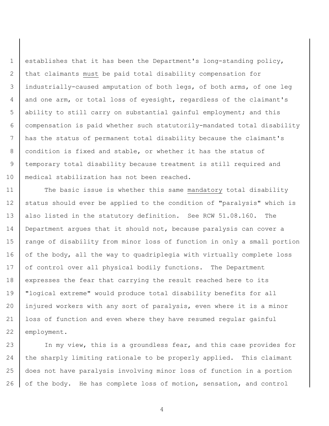establishes that it has been the Department's long-standing policy, 2 that claimants must be paid total disability compensation for industrially-caused amputation of both legs, of both arms, of one leg and one arm, or total loss of eyesight, regardless of the claimant's ability to still carry on substantial gainful employment; and this compensation is paid whether such statutorily-mandated total disability has the status of permanent total disability because the claimant's condition is fixed and stable, or whether it has the status of temporary total disability because treatment is still required and medical stabilization has not been reached.

11 The basic issue is whether this same mandatory total disability 12 status should ever be applied to the condition of "paralysis" which is 13 also listed in the statutory definition. See RCW 51.08.160. The 14 Department argues that it should not, because paralysis can cover a 15 | range of disability from minor loss of function in only a small portion 16 of the body, all the way to quadriplegia with virtually complete loss 17 of control over all physical bodily functions. The Department 18 expresses the fear that carrying the result reached here to its 19 "logical extreme" would produce total disability benefits for all 20 injured workers with any sort of paralysis, even where it is a minor 21 loss of function and even where they have resumed regular gainful 22 employment.

23 In my view, this is a groundless fear, and this case provides for 24 the sharply limiting rationale to be properly applied. This claimant 25 does not have paralysis involving minor loss of function in a portion 26 | of the body. He has complete loss of motion, sensation, and control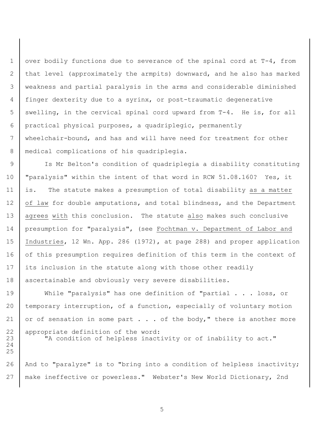over bodily functions due to severance of the spinal cord at T-4, from that level (approximately the armpits) downward, and he also has marked weakness and partial paralysis in the arms and considerable diminished finger dexterity due to a syrinx, or post-traumatic degenerative swelling, in the cervical spinal cord upward from T-4. He is, for all practical physical purposes, a quadriplegic, permanently wheelchair-bound, and has and will have need for treatment for other 8 | medical complications of his quadriplegia.

9 Is Mr Belton's condition of quadriplegia a disability constituting 10 | "paralysis" within the intent of that word in RCW 51.08.160? Yes, it 11 is. The statute makes a presumption of total disability as a matter 12 of law for double amputations, and total blindness, and the Department 13 | agrees with this conclusion. The statute also makes such conclusive 14 presumption for "paralysis", (see Fochtman v. Department of Labor and 15 Industries, 12 Wn. App. 286 (1972), at page 288) and proper application 16 of this presumption requires definition of this term in the context of 17 its inclusion in the statute along with those other readily 18 ascertainable and obviously very severe disabilities.

19 While "paralysis" has one definition of "partial . . . loss, or 20 temporary interruption, of a function, especially of voluntary motion 21 or of sensation in some part  $\ldots$  of the body," there is another more 22 | appropriate definition of the word: 23 | "A condition of helpless inactivity or of inability to act."

26 | And to "paralyze" is to "bring into a condition of helpless inactivity; 27 make ineffective or powerless." Webster's New World Dictionary, 2nd

24 25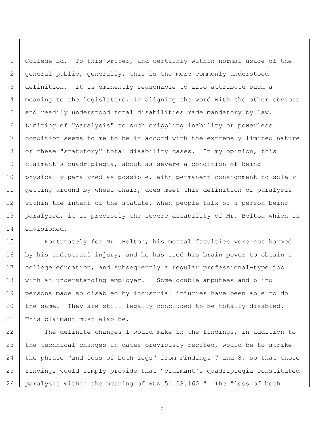College Ed. To this writer, and certainly within normal usage of the general public, generally, this is the more commonly understood definition. It is eminently reasonable to also attribute such a meaning to the legislature, in aligning the word with the other obvious and readily understood total disabilities made mandatory by law. Limiting of "paralysis" to such crippling inability or powerless condition seems to me to be in accord with the extremely limited nature 8 of these "statutory" total disability cases. In my opinion, this claimant's quadriplegia, about as severe a condition of being physically paralyzed as possible, with permanent consignment to solely getting around by wheel-chair, does meet this definition of paralysis 12 within the intent of the statute. When people talk of a person being paralyzed, it is precisely the severe disability of Mr. Belton which is 14 envisioned.

**Fortunately for Mr. Belton, his mental faculties were not harmed** 16 by his industrial injury, and he has used his brain power to obtain a college education, and subsequently a regular professional-type job 18 with an understanding employer. Some double amputees and blind persons made so disabled by industrial injuries have been able to do 20 the same. They are still legally concluded to be totally disabled. 21 This claimant must also be.

22 The definite changes I would make in the findings, in addition to 23 the technical changes in dates previously recited, would be to strike 24 the phrase "and loss of both legs" from Findings 7 and 8, so that those findings would simply provide that "claimant's quadriplegia constituted paralysis within the meaning of RCW 51.08.160." The "loss of both